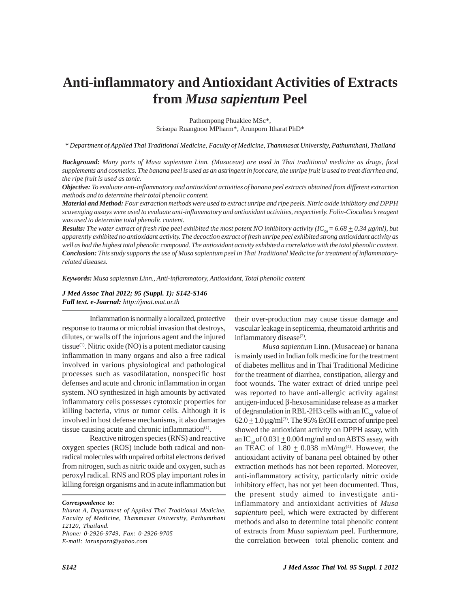# **Anti-inflammatory and Antioxidant Activities of Extracts from** *Musa sapientum* **Peel**

Pathompong Phuaklee MSc\*, Srisopa Ruangnoo MPharm\*, Arunporn Itharat PhD\*

*\* Department of Applied Thai Traditional Medicine, Faculty of Medicine, Thammasat University, Pathumthani, Thailand*

*Background: Many parts of Musa sapientum Linn. (Musaceae) are used in Thai traditional medicine as drugs, food supplements and cosmetics. The banana peel is used as an astringent in foot care, the unripe fruit is used to treat diarrhea and, the ripe fruit is used as tonic.*

*Objective: To evaluate anti-inflammatory and antioxidant activities of banana peel extracts obtained from different extraction methods and to determine their total phenolic content.*

*Material and Method: Four extraction methods were used to extract unripe and ripe peels. Nitric oxide inhibitory and DPPH scavenging assays were used to evaluate anti-inflammatory and antioxidant activities, respectively. Folin-Ciocalteu's reagent was used to determine total phenolic content.*

*Results:* The water extract of fresh ripe peel exhibited the most potent NO inhibitory activity (IC<sub>s0</sub> = 6.68  $\pm$  0.34  $\mu$ g/ml), but *apparently exhibited no antioxidant activity. The decoction extract of fresh unripe peel exhibited strong antioxidant activity as well as had the highest total phenolic compound. The antioxidant activity exhibited a correlation with the total phenolic content. Conclusion: This study supports the use of Musa sapientum peel in Thai Traditional Medicine for treatment of inflammatoryrelated diseases.*

*Keywords: Musa sapientum Linn., Anti-inflammatory, Antioxidant, Total phenolic content*

*J Med Assoc Thai 2012; 95 (Suppl. 1): S142-S146 Full text. e-Journal: http://jmat.mat.or.th*

Inflammation is normally a localized, protective response to trauma or microbial invasion that destroys, dilutes, or walls off the injurious agent and the injured tissue<sup>(1)</sup>. Nitric oxide (NO) is a potent mediator causing inflammation in many organs and also a free radical involved in various physiological and pathological processes such as vasodilatation, nonspecific host defenses and acute and chronic inflammation in organ system. NO synthesized in high amounts by activated inflammatory cells possesses cytotoxic properties for killing bacteria, virus or tumor cells. Although it is involved in host defense mechanisms, it also damages tissue causing acute and chronic inflammation $(1)$ .

Reactive nitrogen species (RNS) and reactive oxygen species (ROS) include both radical and nonradical molecules with unpaired orbital electrons derived from nitrogen, such as nitric oxide and oxygen, such as peroxyl radical. RNS and ROS play important roles in killing foreign organisms and in acute inflammation but

*Correspondence to:*

their over-production may cause tissue damage and vascular leakage in septicemia, rheumatoid arthritis and inflammatory disease<sup>(2)</sup>.

*Musa sapientum* Linn. (Musaceae) or banana is mainly used in Indian folk medicine for the treatment of diabetes mellitus and in Thai Traditional Medicine for the treatment of diarrhea, constipation, allergy and foot wounds. The water extract of dried unripe peel was reported to have anti-allergic activity against antigen-induced β-hexosaminidase release as a marker of degranulation in RBL-2H3 cells with an  $IC_{50}$  value of  $62.0 \pm 1.0 \,\mu\text{g/ml}^{(3)}$ . The 95% EtOH extract of unripe peel showed the antioxidant activity on DPPH assay, with an IC<sub>50</sub> of 0.031  $\pm$  0.004 mg/ml and on ABTS assay, with an TEAC of  $1.80 \pm 0.038$  mM/mg<sup>(4)</sup>. However, the antioxidant activity of banana peel obtained by other extraction methods has not been reported. Moreover, anti-inflammatory activity, particularly nitric oxide inhibitory effect, has not yet been documented. Thus, the present study aimed to investigate antiinflammatory and antioxidant activities of *Musa sapientum* peel, which were extracted by different methods and also to determine total phenolic content of extracts from *Musa sapientum* peel. Furthermore, the correlation between total phenolic content and

*Itharat A, Department of Applied Thai Traditional Medicine, Faculty of Medicine, Thammasat University, Pathumthani 12120, Thailand. Phone: 0-2926-9749, Fax: 0-2926-9705 E-mail: iarunporn@yahoo.com*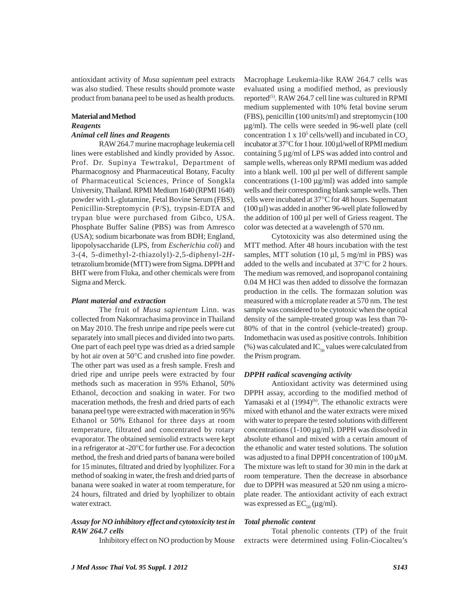antioxidant activity of *Musa sapientum* peel extracts was also studied. These results should promote waste product from banana peel to be used as health products.

## **Material and Method**

### *Reagents*

#### *Animal cell lines and Reagents*

RAW 264.7 murine macrophage leukemia cell lines were established and kindly provided by Assoc. Prof. Dr. Supinya Tewtrakul, Department of Pharmacognosy and Pharmaceutical Botany, Faculty of Pharmaceutical Sciences, Prince of Songkla University, Thailand. RPMI Medium 1640 (RPMI 1640) powder with L-glutamine, Fetal Bovine Serum (FBS), Penicillin-Streptomycin (P/S), trypsin-EDTA and trypan blue were purchased from Gibco, USA. Phosphate Buffer Saline (PBS) was from Amresco (USA); sodium bicarbonate was from BDH; England, lipopolysaccharide (LPS, from *Escherichia coli*) and 3-(4, 5-dimethyl-2-thiazolyl)-2,5-diphenyl-2*H*tetrazolium bromide (MTT) were from Sigma. DPPH and BHT were from Fluka, and other chemicals were from Sigma and Merck.

#### *Plant material and extraction*

The fruit of *Musa sapientum* Linn. was collected from Nakornrachasima province in Thailand on May 2010. The fresh unripe and ripe peels were cut separately into small pieces and divided into two parts. One part of each peel type was dried as a dried sample by hot air oven at 50°C and crushed into fine powder. The other part was used as a fresh sample. Fresh and dried ripe and unripe peels were extracted by four methods such as maceration in 95% Ethanol, 50% Ethanol, decoction and soaking in water. For two maceration methods, the fresh and dried parts of each banana peel type were extracted with maceration in 95% Ethanol or 50% Ethanol for three days at room temperature, filtrated and concentrated by rotary evaporator. The obtained semisolid extracts were kept in a refrigerator at -20°C for further use. For a decoction method, the fresh and dried parts of banana were boiled for 15 minutes, filtrated and dried by lyophilizer. For a method of soaking in water, the fresh and dried parts of banana were soaked in water at room temperature, for 24 hours, filtrated and dried by lyophilizer to obtain water extract.

#### *Assay for NO inhibitory effect and cytotoxicity test in RAW 264.7 cells*

Inhibitory effect on NO production by Mouse

Macrophage Leukemia-like RAW 264.7 cells was evaluated using a modified method, as previously reported<sup>(5)</sup>. RAW 264.7 cell line was cultured in RPMI medium supplemented with 10% fetal bovine serum (FBS), penicillin (100 units/ml) and streptomycin (100 μg/ml). The cells were seeded in 96-well plate (cell concentration 1 x  $10^5$  cells/well) and incubated in  $CO_2$ incubator at 37°C for 1 hour. 100 μl/well of RPMI medium containing 5 μg/ml of LPS was added into control and sample wells, whereas only RPMI medium was added into a blank well. 100 μl per well of different sample concentrations (1-100 μg/ml) was added into sample wells and their corresponding blank sample wells. Then cells were incubated at 37°C for 48 hours. Supernatant (100 μl) was added in another 96-well plate followed by the addition of 100 μl per well of Griess reagent. The color was detected at a wavelength of 570 nm.

Cytotoxicity was also determined using the MTT method. After 48 hours incubation with the test samples, MTT solution (10  $\mu$ l, 5 mg/ml in PBS) was added to the wells and incubated at 37°C for 2 hours. The medium was removed, and isopropanol containing 0.04 M HCl was then added to dissolve the formazan production in the cells. The formazan solution was measured with a microplate reader at 570 nm. The test sample was considered to be cytotoxic when the optical density of the sample-treated group was less than 70- 80% of that in the control (vehicle-treated) group. Indomethacin was used as positive controls. Inhibition (%) was calculated and  $IC_{50}$  values were calculated from the Prism program.

#### *DPPH radical scavenging activity*

Antioxidant activity was determined using DPPH assay, according to the modified method of Yamasaki et al  $(1994)^{(6)}$ . The ethanolic extracts were mixed with ethanol and the water extracts were mixed with water to prepare the tested solutions with different concentrations (1-100 μg/ml). DPPH was dissolved in absolute ethanol and mixed with a certain amount of the ethanolic and water tested solutions. The solution was adjusted to a final DPPH concentration of 100 μM. The mixture was left to stand for 30 min in the dark at room temperature. Then the decrease in absorbance due to DPPH was measured at 520 nm using a microplate reader. The antioxidant activity of each extract was expressed as  $EC_{50} (\mu g/ml)$ .

#### *Total phenolic content*

Total phenolic contents (TP) of the fruit extracts were determined using Folin-Ciocalteu's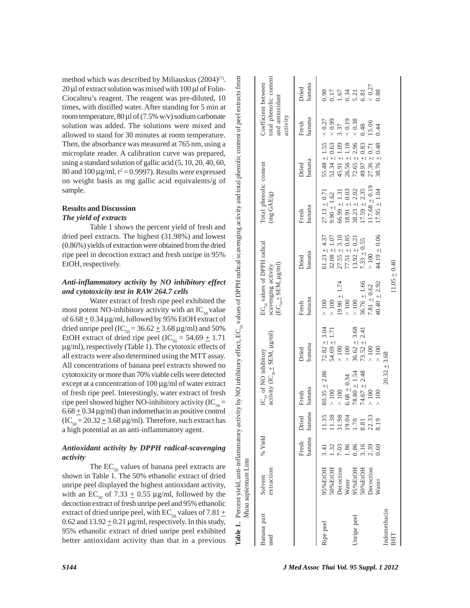method which was described by Miliauskus  $(2004)^{(7)}$ . 20 μl of extract solution was mixed with 100 μl of Folin-Ciocalteu's reagent. The reagent was pre-diluted, 10 times, with distilled water. After standing for 5 min at room temperature,  $80 \mu l$  of (7.5% w/v) sodium carbonate solution was added. The solutions were mixed and allowed to stand for 30 minutes at room temperature. Then, the absorbance was measured at 765 nm, using a microplate reader. A calibration curve was prepared, using a standard solution of gallic acid (5, 10, 20, 40, 60, 80 and 100  $\mu$ g/ml,  $r^2 = 0.9997$ ). Results were expressed on weight basis as mg gallic acid equivalents/g of sample.

#### **Results and Discussion** *The yield of extracts*

Table 1 shows the percent yield of fresh and dried peel extracts. The highest (31.98%) and lowest (0.86%) yields of extraction were obtained from the dried ripe peel in decoction extract and fresh unripe in 95% EtOH, respectively.

#### *Anti-inflammatory activity by NO inhibitory effect and cytotoxicity test in RAW 264.7 cells*

Water extract of fresh ripe peel exhibited the most potent NO-inhibitory activity with an  $IC_{50}$  value of  $6.68 \pm 0.34$  µg/ml, followed by 95% EtOH extract of dried unripe peel (IC<sub>50</sub> = 36.62  $\pm$  3.68 µg/ml) and 50% EtOH extract of dried ripe peel (IC<sub>50</sub> = 54.69  $\pm$  1.71 μg/ml), respectively (Table 1). The cytotoxic effects of all extracts were also determined using the MTT assay. All concentrations of banana peel extracts showed no cytotoxicity or more than 70% viable cells were detected except at a concentration of 100 μg/ml of water extract of fresh ripe peel. Interestingly, water extract of fresh ripe peel showed higher NO-inhibitory activity ( $IC_{50}$  =  $6.68 \pm 0.34$  µg/ml) than indomethacin as positive control  $(IC_{50} = 20.32 \pm 3.68 \,\mu\text{g/ml})$ . Therefore, such extract has a high potential as an anti-inflammatory agent.

#### *Antioxidant activity by DPPH radical-scavenging activity*

The  $EC_{50}$  values of banana peel extracts are shown in Table 1. The 50% ethanolic extract of dried unripe peel displayed the highest antioxidant activity, with an EC<sub>50</sub> of 7.33  $\pm$  0.55 µg/ml, followed by the decoction extract of fresh unripe peel and 95% ethanolic extract of dried unripe peel, with EC<sub>50</sub> values of 7.81  $\pm$ 0.62 and  $13.92 \pm 0.21 \,\mu g/ml$ , respectively. In this study, 95% ethanolic extract of dried unripe peel exhibited better antioxidant activity than that in a previous

| Banana part<br><b>Ised</b> | extraction<br>Solvent                                                                    | % Yield                                                     |                                                           | IC <sub>so</sub> of NO inhibitory<br>activity (IC <sub>so</sub> $\pm$ SEM, $\mu$ g/ml)                            |                                                                                                                                                      | EC <sub>50</sub> values of DPPH radical<br>$\text{ECC}_{s_0} \pm \text{SEM}$ , $\mu\text{g/ml}$ )<br>scavenging activity |                                                                                                                                                        | Total phenolic content<br>(mg GAE/g)                                                                                                                                |                                                                                                                                                                                              | Coefficient between<br>and antioxidant<br>activity                | total phenolic content                                             |
|----------------------------|------------------------------------------------------------------------------------------|-------------------------------------------------------------|-----------------------------------------------------------|-------------------------------------------------------------------------------------------------------------------|------------------------------------------------------------------------------------------------------------------------------------------------------|--------------------------------------------------------------------------------------------------------------------------|--------------------------------------------------------------------------------------------------------------------------------------------------------|---------------------------------------------------------------------------------------------------------------------------------------------------------------------|----------------------------------------------------------------------------------------------------------------------------------------------------------------------------------------------|-------------------------------------------------------------------|--------------------------------------------------------------------|
|                            |                                                                                          | Fresh                                                       | banana banana<br>Dried                                    | banana<br>Fresh                                                                                                   | banana<br>Dried                                                                                                                                      | banana<br>Fresh                                                                                                          | banana<br>Dried                                                                                                                                        | banana<br>Fresh                                                                                                                                                     | banana<br>Dried                                                                                                                                                                              | banana<br>Fresh                                                   | banana<br>Dried                                                    |
| Inripe peel<br>tipe peel   | HOB3%E<br>50%EtOH<br><b>Decoction</b><br><b>Decoction</b><br>HOIE%66<br>60%EtOH<br>Water | $1.86$<br>$0.86$<br>$0.39$<br>$0.69$<br>.32<br>0.03<br>3.41 | 11.35<br>11.38<br>19.04<br>19.04<br>1.70<br>8.33<br>22.33 | $80.35 \pm 2.86$<br>$78.80 \pm 1.54$<br>$74.67 \pm 2.48$<br>$6.68 \pm 0.34$<br>$\sim 100$<br>$\sim 100$<br>$>100$ | $72.82 \pm 3.04$<br>$\begin{array}{c} 36.62 \pm 3.68 \\ 73.52 \pm 2.41 \end{array}$<br>$54.69 \pm 1.71$<br>$\times$ 100<br>$>100$<br>$\frac{100}{ }$ | $\frac{36.76 \pm 1.66}{7.81 \pm 0.62}$<br>$19.90 \pm 1.74$<br>$>100$<br>$\frac{100}{ }$<br>$>100$<br>$>100$              | $51.23 \pm 4.37$<br>$\begin{array}{c} 27.55 \pm 3.10 \\ 77.51 \pm 0.85 \\ 13.92 \pm 0.21 \end{array}$<br>$32.08 \pm 1.07$<br>$7.33 \pm 0.55$<br>$>100$ | $.17.68 \pm 0.19$<br>$17.59 \pm 2.35$<br>$\begin{array}{c} 18.91 \pm 0.03 \\ 38.23 \pm 2.02 \end{array}$<br>$27.13 \pm 0.71$<br>$66.99 \pm 1.31$<br>$9.90 \pm 1.62$ | $55.48 \pm 1.55$<br>$52.34 \pm 0.63$<br>$\begin{array}{c} 45.91 \pm 1.09 \\ 26.56 \pm 1.18 \\ 72.65 \pm 2.96 \end{array}$<br>$\begin{array}{c} 49.97 \pm 0.83 \\ 27.36 \pm 0.71 \end{array}$ | $< 0.27$<br>0.19<br>(0.99)<br>${}< 0.38$<br>15.06<br>0.48<br>1.37 | $0.90$<br>$0.17$<br>$0.34$<br>$0.34$<br>$0.81$<br>$0.87$<br>$0.27$ |
|                            | <b>Nater</b>                                                                             |                                                             |                                                           | $\overline{100}$                                                                                                  | $\times$ 100                                                                                                                                         | $40.40 \pm 2.92$                                                                                                         | 44.19 $\pm$ 0.06                                                                                                                                       | $17.95 \pm 1.04$                                                                                                                                                    | $8.76 \pm 0.48$                                                                                                                                                                              | 0.44                                                              | 0.88                                                               |

**Table 1.** Percent yield, anti-inflammatory activity by NO inhibitory effect, EC<sub>50</sub> values of DPPH radical scavenging activity and total phenolic content of peel extracts from

Percent yield, anti-inflammatory activity by NO inhibitory effect, EC<sub>so</sub> values of DPPH radical scavenging activity and total phenolic content of peel extracts from

*Musa sapientum* Linn

Musa sapientum Linn

l'able 1.

Indomethacin  $20.32 \div 3.68$ 

ndomethacin

BHT

 ${\rm BHT} \atop 0.011 \times 10040$ 

 $1 + 3.68$ 

20.32

 $11.05 \pm 0.40$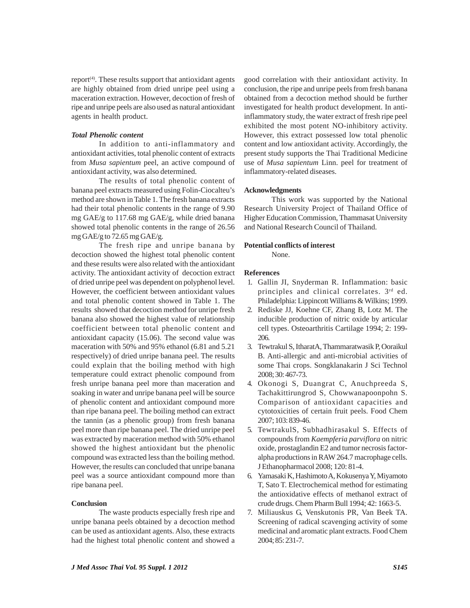report<sup>(4)</sup>. These results support that antioxidant agents are highly obtained from dried unripe peel using a maceration extraction. However, decoction of fresh of ripe and unripe peels are also used as natural antioxidant agents in health product.

#### *Total Phenolic content*

In addition to anti-inflammatory and antioxidant activities, total phenolic content of extracts from *Musa sapientum* peel, an active compound of antioxidant activity, was also determined.

The results of total phenolic content of banana peel extracts measured using Folin-Ciocalteu's method are shown in Table 1. The fresh banana extracts had their total phenolic contents in the range of 9.90 mg GAE/g to 117.68 mg GAE/g, while dried banana showed total phenolic contents in the range of 26.56 mg GAE/g to 72.65 mg GAE/g.

The fresh ripe and unripe banana by decoction showed the highest total phenolic content and these results were also related with the antioxidant activity. The antioxidant activity of decoction extract of dried unripe peel was dependent on polyphenol level. However, the coefficient between antioxidant values and total phenolic content showed in Table 1. The results showed that decoction method for unripe fresh banana also showed the highest value of relationship coefficient between total phenolic content and antioxidant capacity (15.06). The second value was maceration with 50% and 95% ethanol (6.81 and 5.21 respectively) of dried unripe banana peel. The results could explain that the boiling method with high temperature could extract phenolic compound from fresh unripe banana peel more than maceration and soaking in water and unripe banana peel will be source of phenolic content and antioxidant compound more than ripe banana peel. The boiling method can extract the tannin (as a phenolic group) from fresh banana peel more than ripe banana peel. The dried unripe peel was extracted by maceration method with 50% ethanol showed the highest antioxidant but the phenolic compound was extracted less than the boiling method. However, the results can concluded that unripe banana peel was a source antioxidant compound more than ripe banana peel.

#### **Conclusion**

The waste products especially fresh ripe and unripe banana peels obtained by a decoction method can be used as antioxidant agents. Also, these extracts had the highest total phenolic content and showed a good correlation with their antioxidant activity. In conclusion, the ripe and unripe peels from fresh banana obtained from a decoction method should be further investigated for health product development. In antiinflammatory study, the water extract of fresh ripe peel exhibited the most potent NO-inhibitory activity. However, this extract possessed low total phenolic content and low antioxidant activity. Accordingly, the present study supports the Thai Traditional Medicine use of *Musa sapientum* Linn. peel for treatment of inflammatory-related diseases.

#### **Acknowledgments**

This work was supported by the National Research University Project of Thailand Office of Higher Education Commission, Thammasat University and National Research Council of Thailand.

#### **Potential conflicts of interest**

None.

#### **References**

- 1. Gallin JI, Snyderman R. Inflammation: basic principles and clinical correlates. 3rd ed. Philadelphia: Lippincott Williams & Wilkins; 1999.
- 2. Rediske JJ, Koehne CF, Zhang B, Lotz M. The inducible production of nitric oxide by articular cell types. Osteoarthritis Cartilage 1994; 2: 199- 206.
- 3. Tewtrakul S, ItharatA, Thammaratwasik P, Ooraikul B. Anti-allergic and anti-microbial activities of some Thai crops. Songklanakarin J Sci Technol 2008; 30: 467-73.
- 4. Okonogi S, Duangrat C, Anuchpreeda S, Tachakittirungrod S, Chowwanapoonpohn S. Comparison of antioxidant capacities and cytotoxicities of certain fruit peels. Food Chem 2007; 103: 839-46.
- 5. TewtrakulS, Subhadhirasakul S. Effects of compounds from *Kaempferia parviflora* on nitric oxide, prostaglandin E2 and tumor necrosis factoralpha productions in RAW 264.7 macrophage cells. J Ethanopharmacol 2008; 120: 81-4.
- 6. Yamasaki K, Hashimoto A, Kokusenya Y, Miyamoto T, Sato T. Electrochemical method for estimating the antioxidative effects of methanol extract of crude drugs. Chem Pharm Bull 1994; 42: 1663-5.
- 7. Miliauskus G, Venskutonis PR, Van Beek TA. Screening of radical scavenging activity of some medicinal and aromatic plant extracts. Food Chem 2004; 85: 231-7.